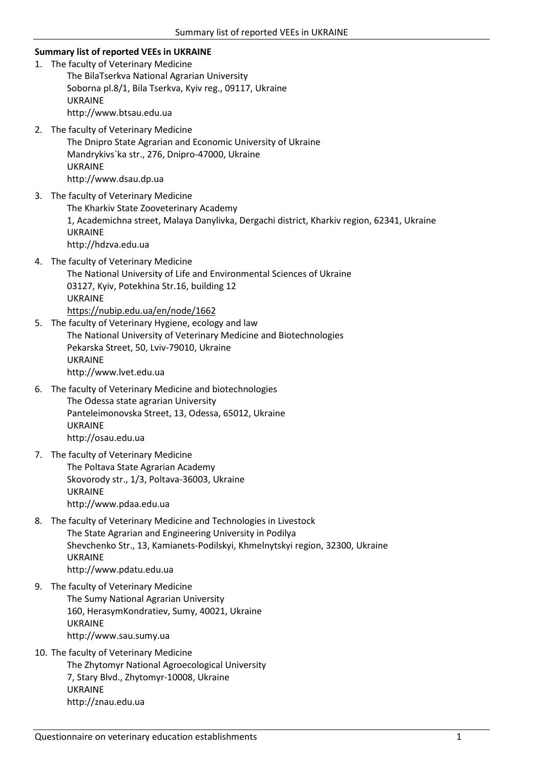## **Summary list of reported VEEs in UKRAINE**

- 1. The faculty of Veterinary Medicine The BilaTserkva National Agrarian University Soborna pl.8/1, Bila Tserkva, Kyiv reg., 09117, Ukraine UKRAINE http://www.btsau.edu.ua
- 2. The faculty of Veterinary Medicine The Dnipro State Agrarian and Economic University of Ukraine Mandrykivs`ka str., 276, Dnipro-47000, Ukraine UKRAINE http://www.dsau.dp.ua
- 3. The faculty of Veterinary Medicine The Kharkiv State Zooveterinary Academy 1, Academichna street, Malaya Danylivka, Dergachi district, Kharkiv region, 62341, Ukraine UKRAINE http://hdzva.edu.ua
- 4. The faculty of Veterinary Medicine The National University of Life and Environmental Sciences of Ukraine 03127, Kyiv, Potekhina Str.16, building 12 UKRAINE <https://nubip.edu.ua/en/node/1662>
- 5. The faculty of Veterinary Hygiene, ecology and law The National University of Veterinary Medicine and Biotechnologies Pekarska Street, 50, Lviv-79010, Ukraine UKRAINE http://www.lvet.edu.ua
- 6. The faculty of Veterinary Medicine and biotechnologies The Odessa state agrarian University Panteleimonovska Street, 13, Odessa, 65012, Ukraine UKRAINE http://osau.edu.ua
- 7. The faculty of Veterinary Medicine The Poltava State Agrarian Academy Skovorody str., 1/3, Poltava-36003, Ukraine UKRAINE http://www.pdaa.edu.ua
- 8. The faculty of Veterinary Medicine and Technologies in Livestock The State Agrarian and Engineering University in Podilya Shevchenko Str., 13, Kamianets-Podilskyi, Khmelnytskyi region, 32300, Ukraine UKRAINE http://www.pdatu.edu.ua
- 9. The faculty of Veterinary Medicine The Sumy National Agrarian University 160, HerasymKondratiev, Sumy, 40021, Ukraine UKRAINE http://www.sau.sumy.ua
- 10. The faculty of Veterinary Medicine The Zhytomyr National Agroecological University 7, Stary Blvd., Zhytomyr-10008, Ukraine UKRAINE http://znau.edu.ua